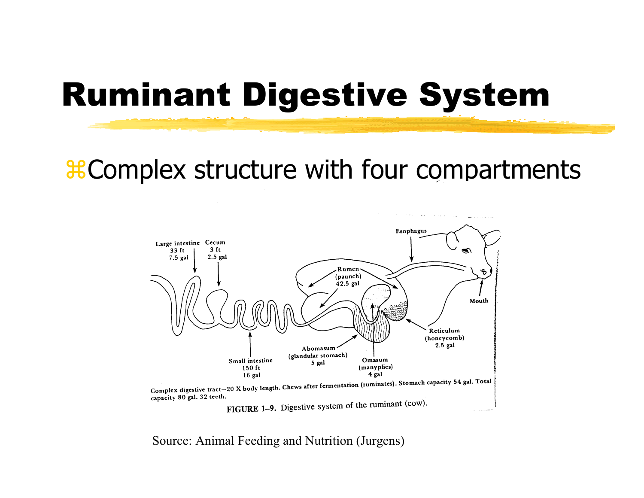### Ruminant Digestive System

#### **&Complex structure with four compartments**



Source: Animal Feeding and Nutrition (Jurgens)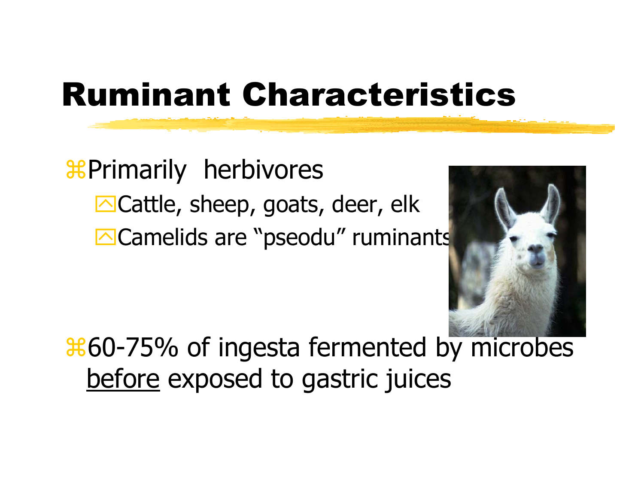# Ruminant Characteristics

#### & Primarily herbivores  $\Box$ Cattle, sheep, goats, deer, elk **OCamelids are "pseodu" ruminants**



 $\frac{1260}{75\%}$  of ingesta fermented by microbes before exposed to gastric juices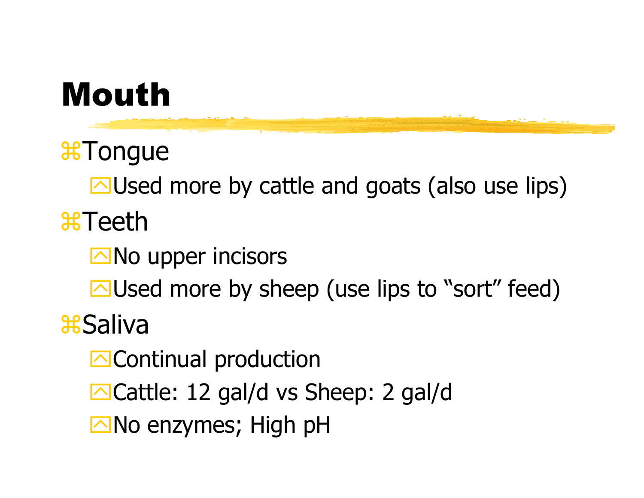#### Mouth

*C*Tonque

 $\Box$ Used more by cattle and goats (also use lips) *a*Teeth

 $\Box$  No upper incisors  $\Box$ Used more by sheep (use lips to "sort" feed) Saliva

**E**Continual production  $\Box$ Cattle: 12 gal/d vs Sheep: 2 gal/d

No enzymes; High pH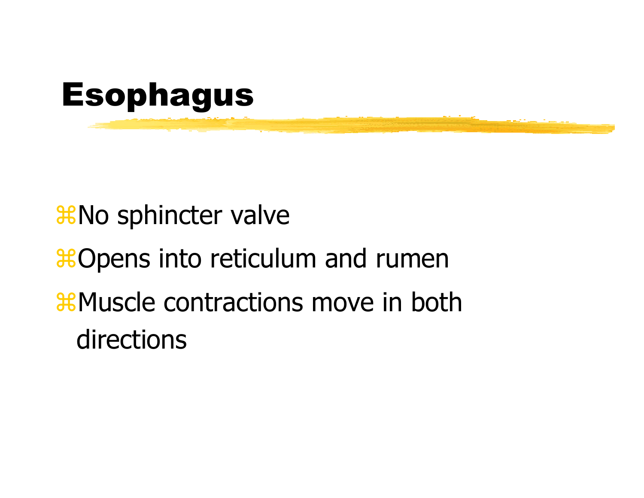

#### $\frac{1}{26}$ **No sphincter valve**

#### **&Opens into reticulum and rumen**

#### **AMuscle contractions move in both** directions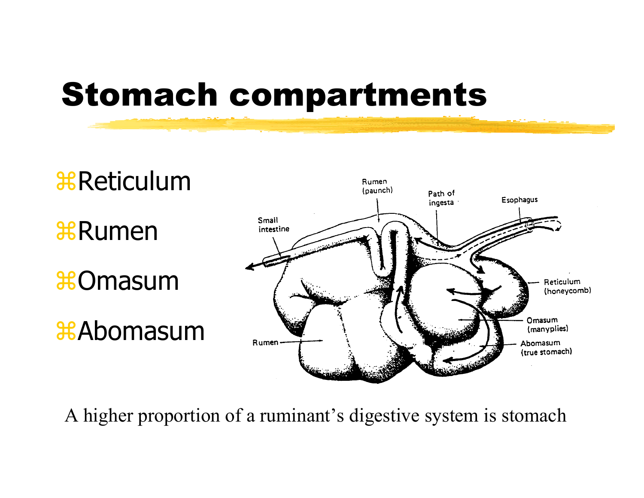### Stomach compartments



A higher proportion of a ruminant's digestive system is stomach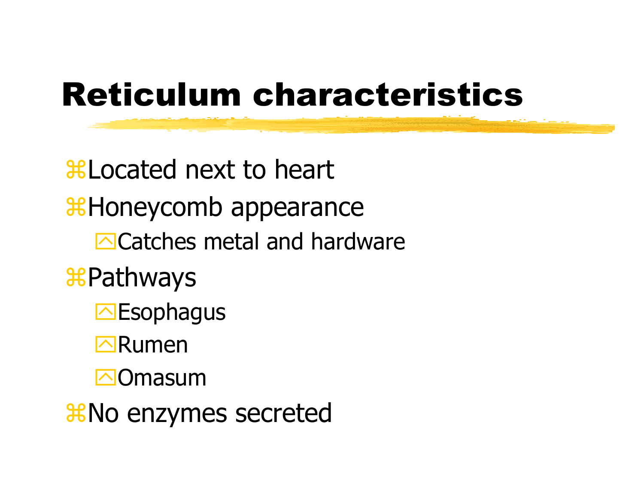# **Reticulum characteristics**

**\\$Located next to heart &Honeycomb appearance Encicatches metal and hardware \&Pathways IN** Esophagus  $\neg$ Rumen **⊠Omasum** 

*X*No enzymes secreted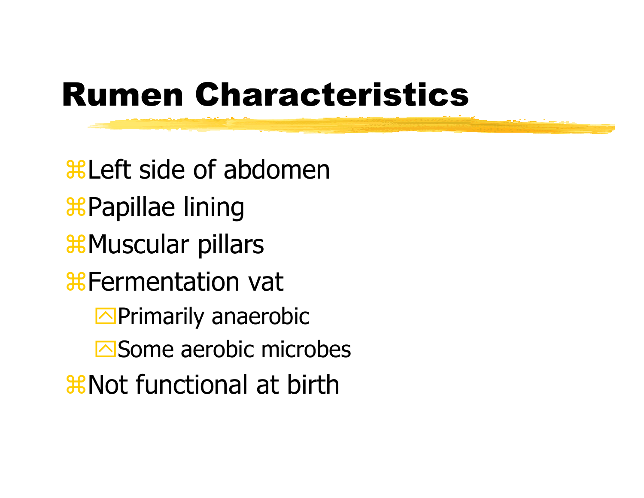# Rumen Characteristics

**ALEFT side of abdoment** aPapillae lining  $\frac{1}{26}$ **Muscular pillars** *A***Fermentation vat**  $\Box$ Primarily anaerobic  $\overline{\triangleright}$ Some aerobic microbes **and Sunctional at birth**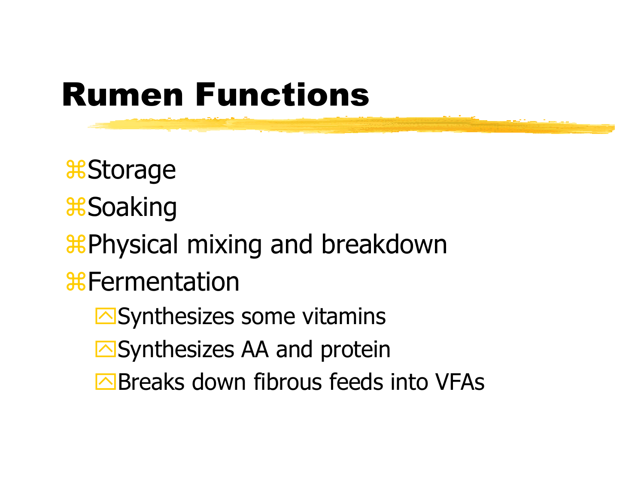# Rumen Functions

*<del>a</del>Storage* 8Soaking **& Physical mixing and breakdown a** Fermentation  $\Box$ Synthesizes some vitamins  $\Box$ Synthesizes AA and protein  $\triangleright$  Breaks down fibrous feeds into VFAs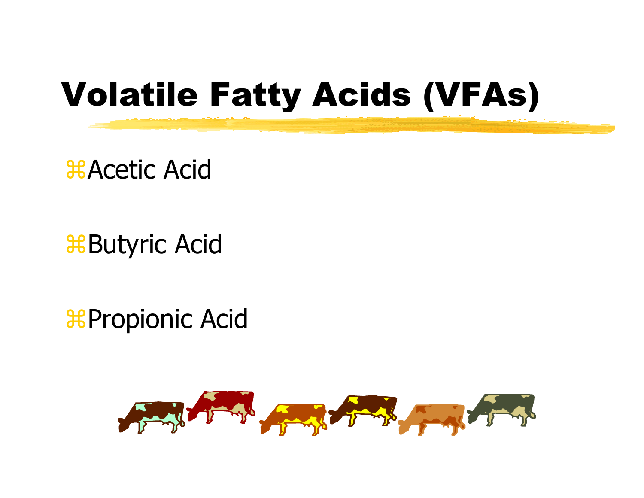# Volatile Fatty Acids (VFAs)

*AAcetic Acid* 

**Butyric Acid** 

**& Propionic Acid** 

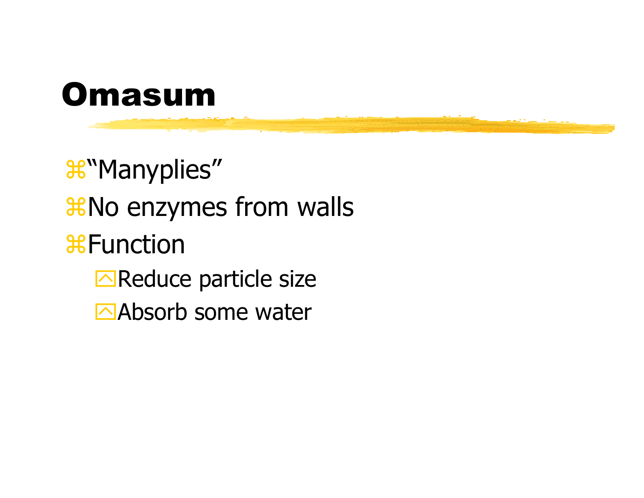

*C*"Manyplies" *Who enzymes from walls* **X**Function  $\Box$ Reduce particle size Absorb some water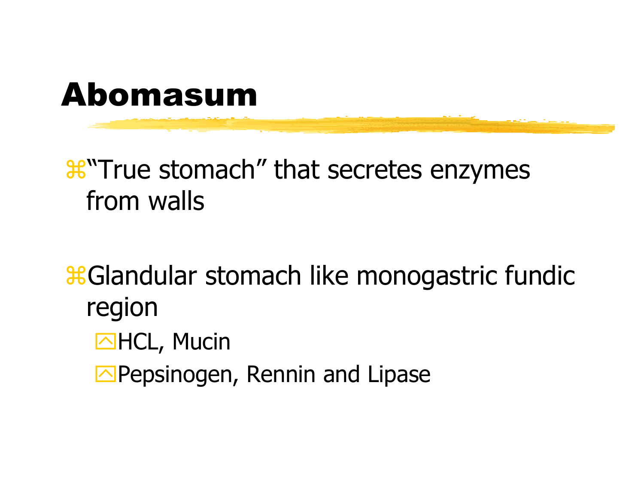

#### <sup>36</sup> True stomach" that secretes enzymes from walls

**& Glandular stomach like monogastric fundic** region

- **MHCL, Mucin**
- **E** Pepsinogen, Rennin and Lipase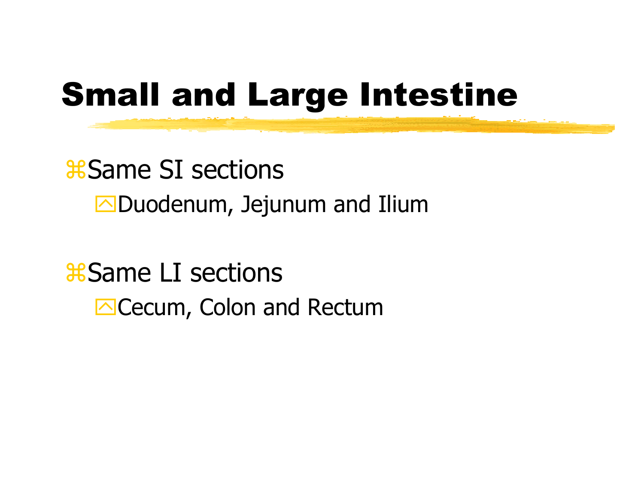# **Small and Large Intestine**

#### **\\$Same SI sections**  $\Box$ Duodenum, Jejunum and Ilium

#### *\*Same LI sections* **△ Cecum, Colon and Rectum**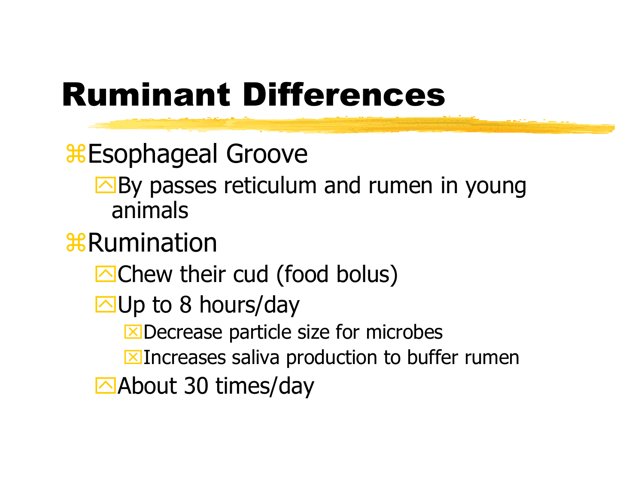# Ruminant Differences

Esophageal Groove

 $\Box$  By passes reticulum and rumen in young animals

#### & Rumination

 $\Box$  Chew their cud (food bolus)

 $\Box$ Up to 8 hours/day

 $X$ Decrease particle size for microbes

**EX**Increases saliva production to buffer rumen

 $\triangle$ About 30 times/day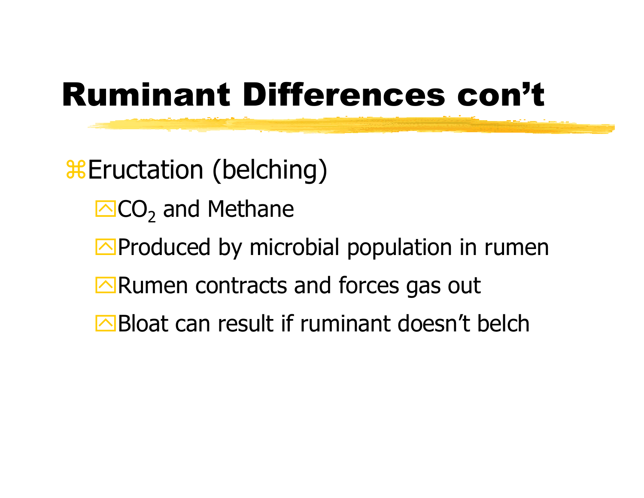# Ruminant Differences con't

& Eructation (belching)

- SCO<sub>2</sub> and Methane
- $\Box$ Produced by microbial population in rumen
- $\Box$ Rumen contracts and forces gas out
- $\triangleright$ Bloat can result if ruminant doesn't belch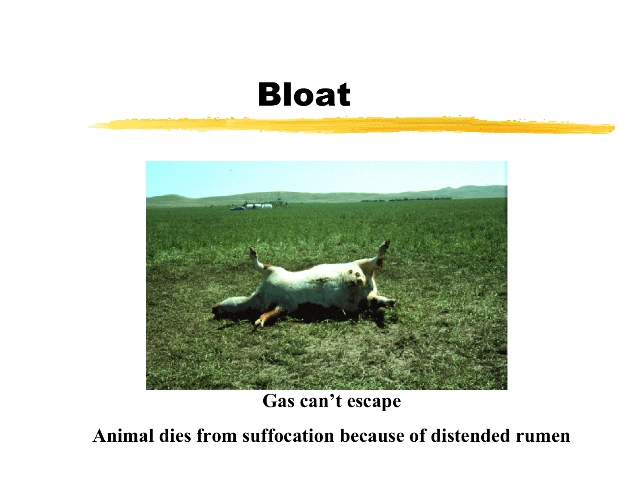#### Bloat



**Gas can't escape**

**Animal dies from suffocation because of distended rumen**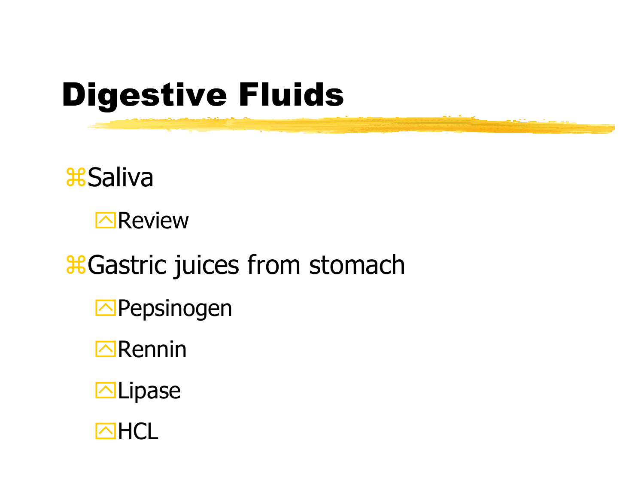# **Digestive Fluids**

#### *Saliva*



#### *Castric juices from stomach*

- **D**Pepsinogen
- $\Box$ Rennin
- **MLipase**

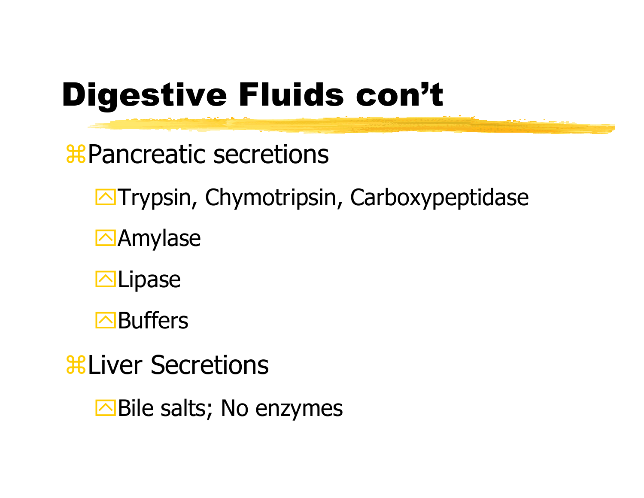# Digestive Fluids con't

**\\$Pancreatic secretions** 

**Trypsin, Chymotripsin, Carboxypeptidase** 

**Z**Amylase

**Natipase** 

**E**Buffers

**a**Liver Secretions

 $\Box$  Bile salts; No enzymes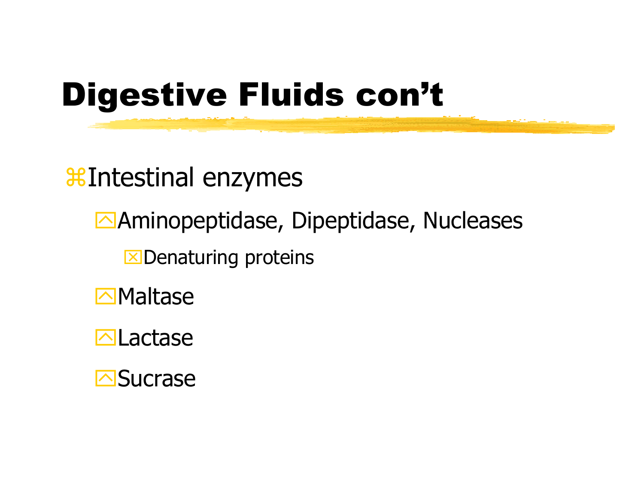# **Digestive Fluids con't**

#### **XIntestinal enzymes**

- Aminopeptidase, Dipeptidase, Nucleases
	- **X** Denaturing proteins
- $\Box$ Maltase
- $\Box$  Lactase
- **Sucrase**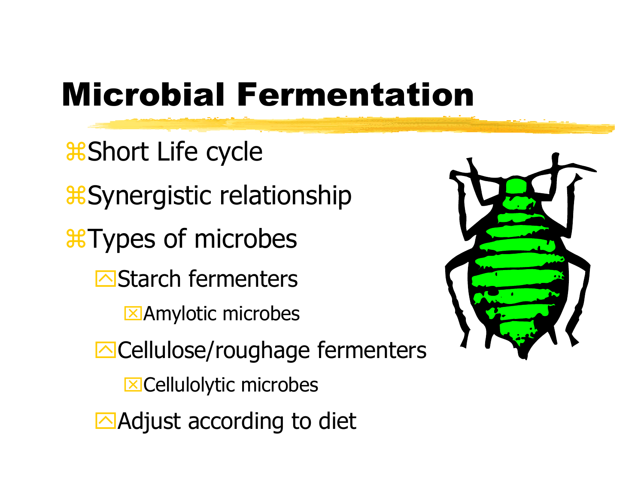# Microbial Fermentation

**&Short Life cycle** &Synergistic relationship aTyp es of microbes **E**Starch fermenters **EXAmylotic microbes E**Cellulose/roughage fermenters **EX** Cellulolytic microbes  $\triangle$ Adjust according to diet

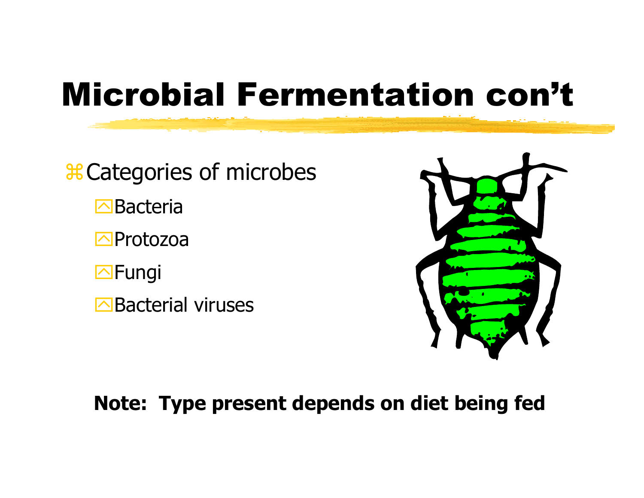# Microbial Fermentation con't

& Categories of microbes **<u></u>⊡Bacteria** 

**E**Protozoa

**I**SFungi

**Bacterial viruses** 



#### **Note: Type present depends on diet being fed**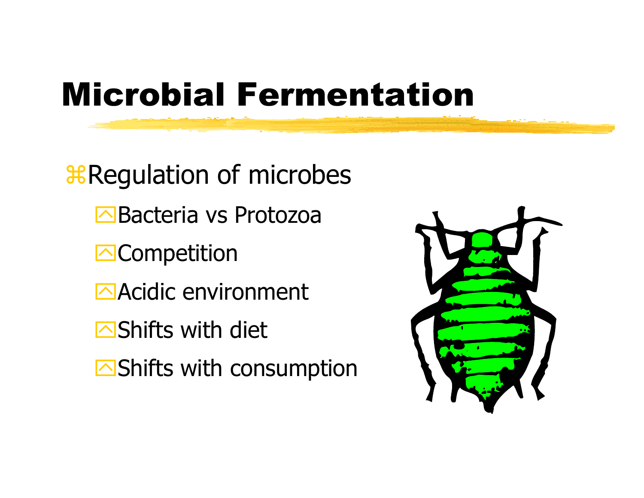# Microbial Fermentation

**& Regulation of microbes EBacteria vs Protozoa N**Competition Acidic environment  $\bigcap$ Shifts with diet  $\Box$ Shifts with consumption

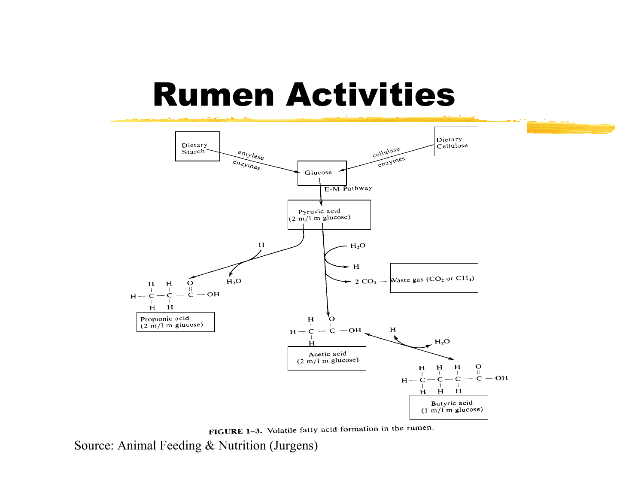#### Rumen Activities



FIGURE 1-3. Volatile fatty acid formation in the rumen.

Source: Animal Feeding & Nutrition (Jurgens)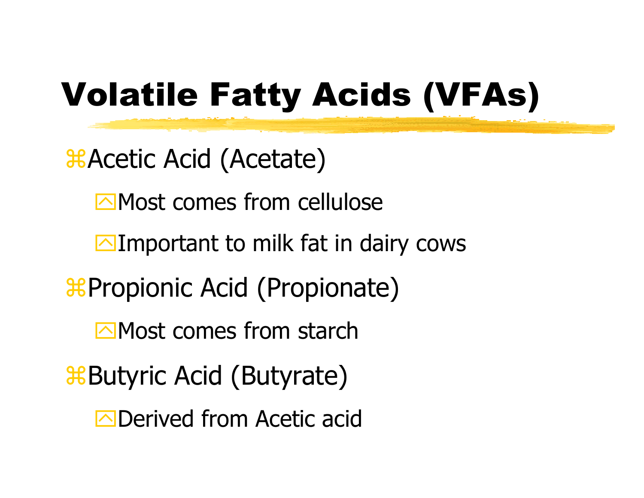# Volatile Fatty Acids (VFAs)

 $\frac{1}{26}$ **Acetic Acid (Acetate)** 

 $\Box$  Most comes from cellulose

 $\Box$ Important to milk fat in dairy cows

**&Propionic Acid (Propionate)** 

 $\sqrt{M}$ Most comes from starch

**&Butyric Acid (Butyrate)** 

**N**Derived from Acetic acid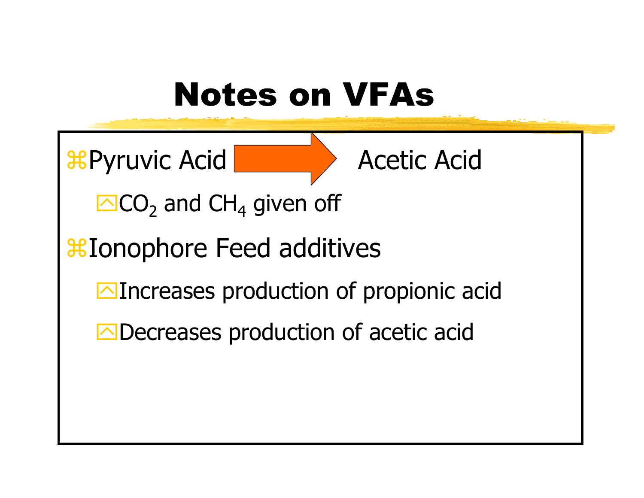### Notes on VFAs

 $\operatorname{\mathsf{\mathfrak{B}P}}$ yruvic Acid

Acetic Acid

 $\overline{\text{C}}$ O $_{2}$  and CH<sub>4</sub> given off

#### **&Ionophore Feed additives**

 $\Box$ Increases production of propionic acid

 $\Box$ Decreases production of acetic acid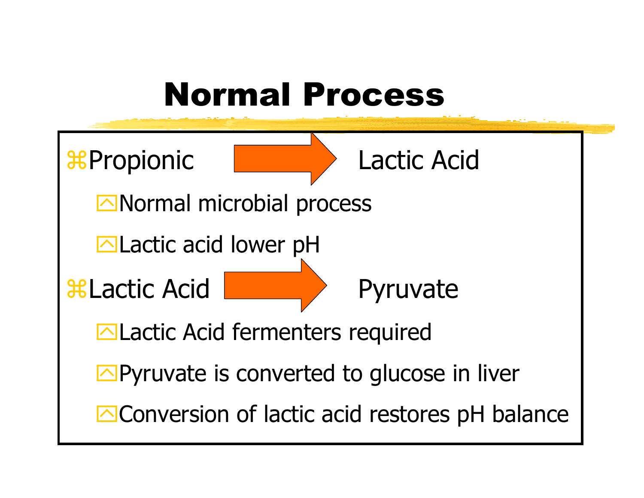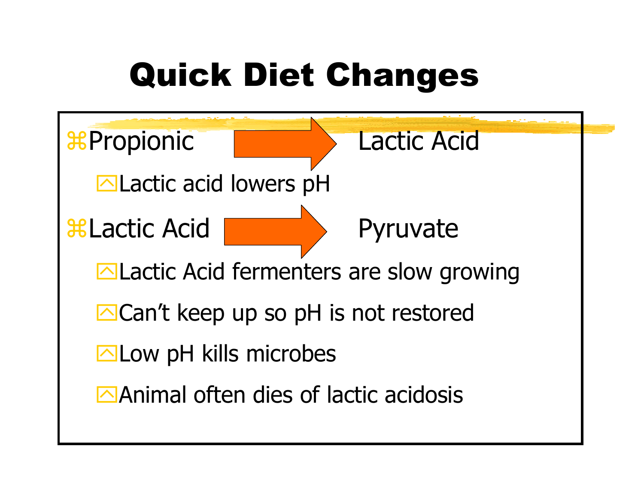# Quick Diet Changes

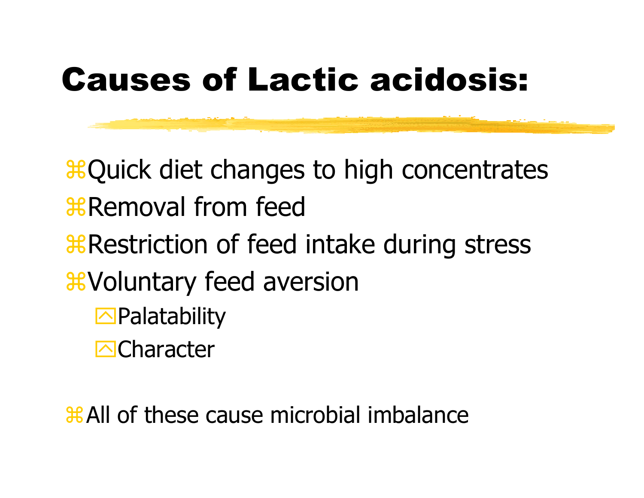### Causes of Lactic acidosis:

**& Quick diet changes to high concentrates** *R* Removal from feed **&Restriction of feed intake during stress &Voluntary feed aversion**  $\Box$ Palatability **N**Character

a All of these cause microbial imbalance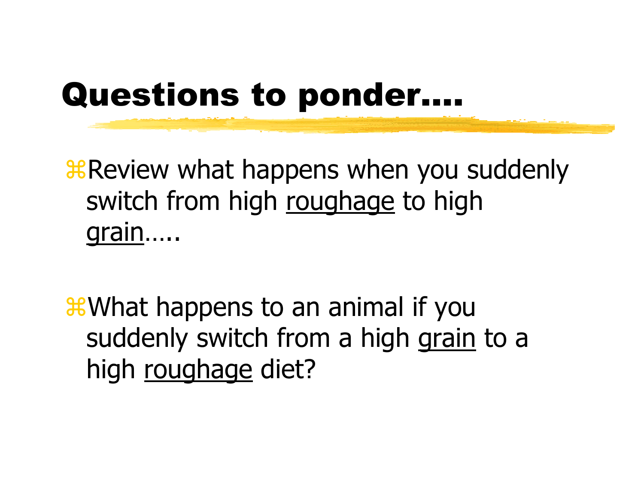### Questions to ponder….

**B** Review what happens when you suddenly switch from high roughage to high grain…..

**&What happens to an animal if you** suddenly switch from a high grain to a high roughage diet?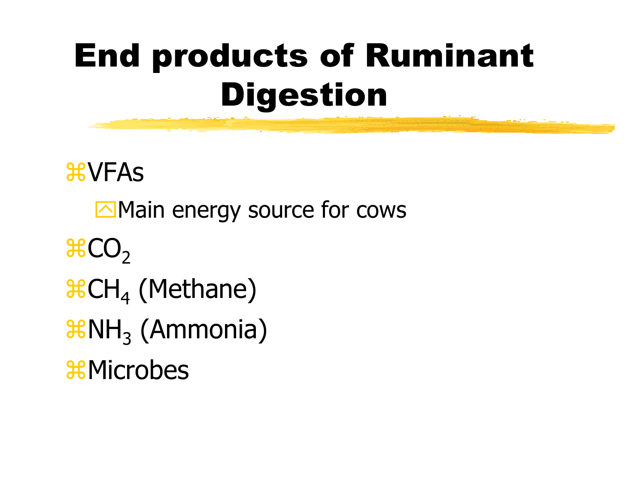# End products of Ruminant Digestion

**AVFAS**  $\Box$ Main energy source for cows  $\text{HCO}_2$  $\operatorname{\mathsf{a}\mathsf{C}\mathsf{H}}_4$  (Methane)  $\texttt{\#NH}_{3}\ (\textsf{Ammonia})$ &Microbes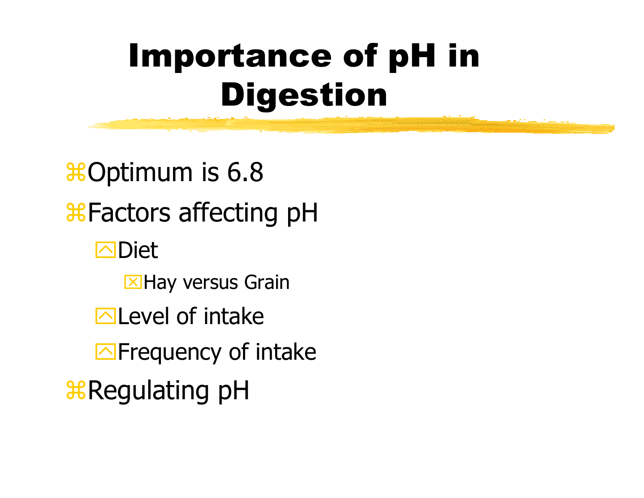# Importance of pH in Digestion

**#Optimum is 6.8 & Factors affecting pH N**Diet **EX** Hay versus Grain  $\Box$  Level of intake  $\Box$ Frequency of intake **BRegulating pH**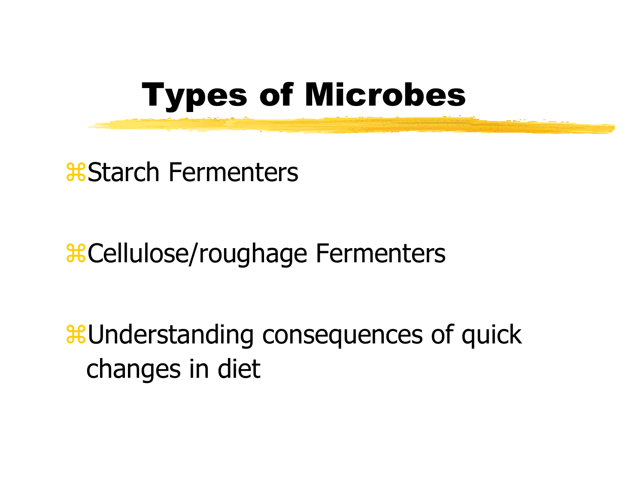

**a**Starch Fermenters

#### **&Cellulose/roughage Fermenters**

**a**Understanding consequences of quick changes in diet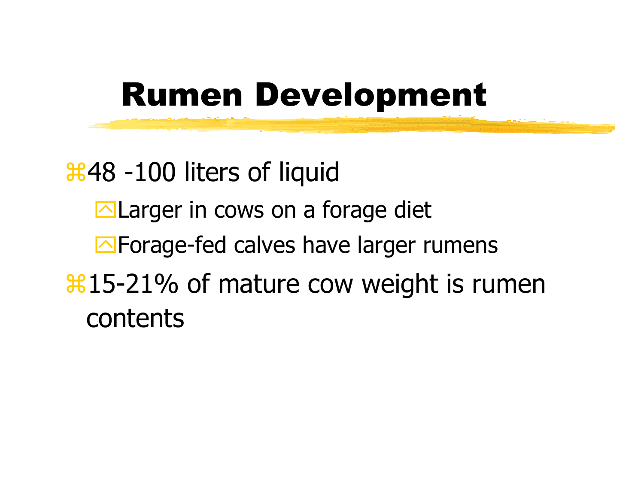### Rumen Development

**3648 -100 liters of liquid**  $\Box$  Larger in cows on a forage diet  $\Box$  Forage-fed calves have larger rumens  $\frac{121}{15}$  and the cow weight is rumen contents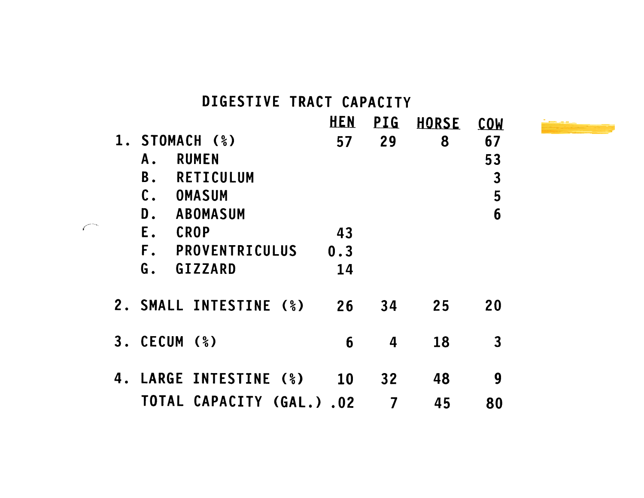#### DIGESTIVE TRACT CAPACITY

|    |                                       | <b>HEN</b> | <b>PIG</b> | <b>HORSE</b> | <b>COW</b>   |
|----|---------------------------------------|------------|------------|--------------|--------------|
|    | 1. STOMACH (%)                        | 57         | 29         | 8            | 67           |
|    | <b>RUMEN</b><br>Α.                    |            |            |              | 53           |
|    | RETICULUM<br><b>B</b> .               |            |            |              | $\mathbf{3}$ |
|    | $\mathfrak{c}.$<br><b>OMASUM</b>      |            |            |              | 5            |
|    | D.<br><b>ABOMASUM</b>                 |            |            |              | 6            |
|    | Ε.<br><b>CROP</b>                     | 43         |            |              |              |
|    | $F_{\alpha}$<br><b>PROVENTRICULUS</b> | 0.3        |            |              |              |
|    | G.<br><b>GIZZARD</b>                  | 14         |            |              |              |
|    | 2. SMALL INTESTINE (%)                | 26         | 34         | 25           | 20           |
| 3. | CECUM (%)                             | 6          | 4          | 18           | $\mathbf{3}$ |
| 4. | LARGE INTESTINE (%)                   | <b>10</b>  | 32         | 48           | 9            |
|    | <b>TOTAL CAPACITY (GAL.).02</b>       |            |            | 45           | 80           |

 $\curvearrowleft$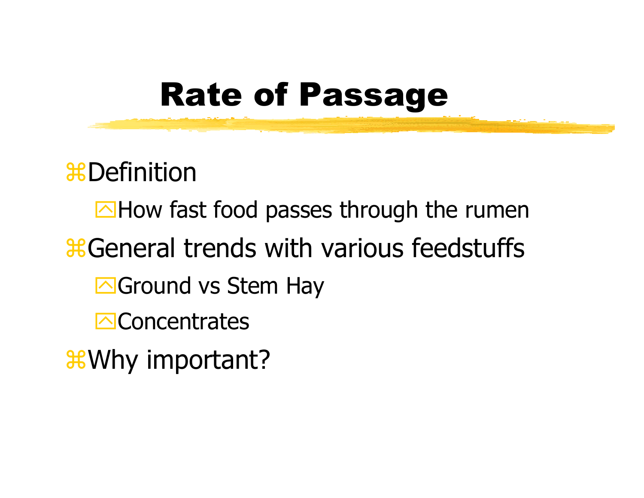### Rate of Passage

**\**&Definition

 $\Box$  How fast food passes through the rumen **& General trends with various feedstuffs** 

- Scround vs Stem Hay
- $\bigcap$ Concentrates
- **&Why important?**